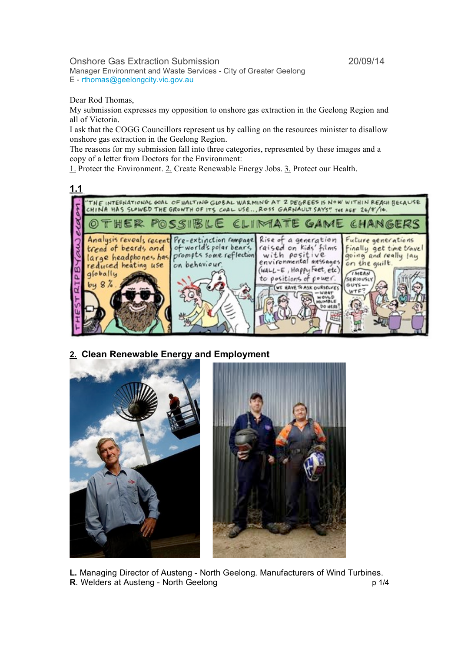Onshore Gas Extraction Submission 20/09/14

Manager Environment and Waste Services - City of Greater Geelong E - rthomas@geelongcity.vic.gov.au

Dear Rod Thomas,

My submission expresses my opposition to onshore gas extraction in the Geelong Region and all of Victoria.

I ask that the COGG Councillors represent us by calling on the resources minister to disallow onshore gas extraction in the Geelong Region.

The reasons for my submission fall into three categories, represented by these images and a copy of a letter from Doctors for the Environment:

1. Protect the Environment. 2. Create Renewable Energy Jobs. 3. Protect our Health.



**2. Clean Renewable Energy and Employment**



**L.** Managing Director of Austeng - North Geelong. Manufacturers of Wind Turbines. **R**. Welders at Austeng - North Geelong p 1/4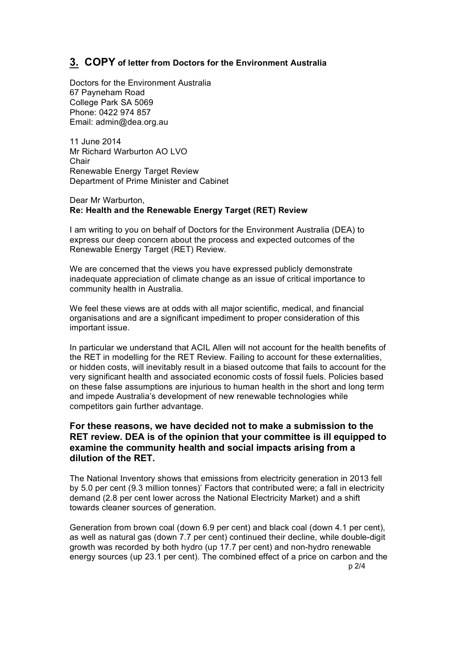## **3. COPY of letter from Doctors for the Environment Australia**

Doctors for the Environment Australia 67 Payneham Road College Park SA 5069 Phone: 0422 974 857 Email: admin@dea.org.au

11 June 2014 Mr Richard Warburton AO LVO Chair Renewable Energy Target Review Department of Prime Minister and Cabinet

Dear Mr Warburton, **Re: Health and the Renewable Energy Target (RET) Review**

I am writing to you on behalf of Doctors for the Environment Australia (DEA) to express our deep concern about the process and expected outcomes of the Renewable Energy Target (RET) Review.

We are concerned that the views you have expressed publicly demonstrate inadequate appreciation of climate change as an issue of critical importance to community health in Australia.

We feel these views are at odds with all major scientific, medical, and financial organisations and are a significant impediment to proper consideration of this important issue.

In particular we understand that ACIL Allen will not account for the health benefits of the RET in modelling for the RET Review. Failing to account for these externalities, or hidden costs, will inevitably result in a biased outcome that fails to account for the very significant health and associated economic costs of fossil fuels. Policies based on these false assumptions are injurious to human health in the short and long term and impede Australia's development of new renewable technologies while competitors gain further advantage.

## **For these reasons, we have decided not to make a submission to the RET review. DEA is of the opinion that your committee is ill equipped to examine the community health and social impacts arising from a dilution of the RET.**

The National Inventory shows that emissions from electricity generation in 2013 fell by 5.0 per cent (9.3 million tonnes)' Factors that contributed were; a fall in electricity demand (2.8 per cent lower across the National Electricity Market) and a shift towards cleaner sources of generation.

Generation from brown coal (down 6.9 per cent) and black coal (down 4.1 per cent), as well as natural gas (down 7.7 per cent) continued their decline, while double-digit growth was recorded by both hydro (up 17.7 per cent) and non-hydro renewable energy sources (up 23.1 per cent). The combined effect of a price on carbon and the p 2/4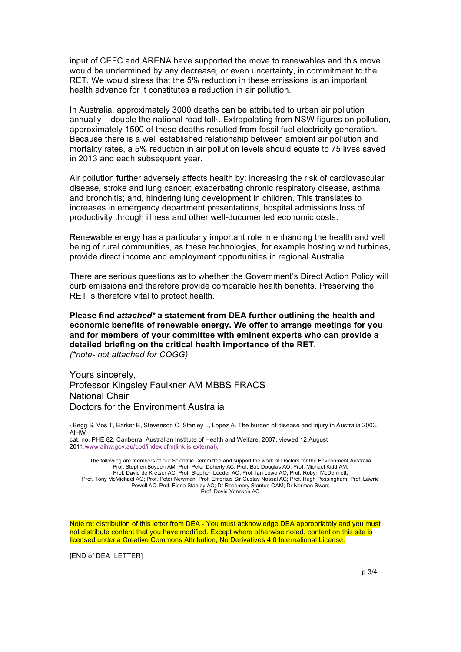input of CEFC and ARENA have supported the move to renewables and this move would be undermined by any decrease, or even uncertainty, in commitment to the RET. We would stress that the 5% reduction in these emissions is an important health advance for it constitutes a reduction in air pollution.

In Australia, approximately 3000 deaths can be attributed to urban air pollution annually  $-$  double the national road toll $_1$ . Extrapolating from NSW figures on pollution, approximately 1500 of these deaths resulted from fossil fuel electricity generation. Because there is a well established relationship between ambient air pollution and mortality rates, a 5% reduction in air pollution levels should equate to 75 lives saved in 2013 and each subsequent year.

Air pollution further adversely affects health by: increasing the risk of cardiovascular disease, stroke and lung cancer; exacerbating chronic respiratory disease, asthma and bronchitis; and, hindering lung development in children. This translates to increases in emergency department presentations, hospital admissions loss of productivity through illness and other well-documented economic costs.

Renewable energy has a particularly important role in enhancing the health and well being of rural communities, as these technologies, for example hosting wind turbines, provide direct income and employment opportunities in regional Australia.

There are serious questions as to whether the Government's Direct Action Policy will curb emissions and therefore provide comparable health benefits. Preserving the RET is therefore vital to protect health.

**Please find** *attached\** **a statement from DEA further outlining the health and economic benefits of renewable energy. We offer to arrange meetings for you and for members of your committee with eminent experts who can provide a detailed briefing on the critical health importance of the RET.**  *(\*note- not attached for COGG)*

Yours sincerely, Professor Kingsley Faulkner AM MBBS FRACS National Chair Doctors for the Environment Australia

1 Begg S, Vos T, Barker B, Stevenson C, Stanley L, Lopez A. The burden of disease and injury in Australia 2003. AIHW

cat. no. PHE 82. Canberra: Australian Institute of Health and Welfare, 2007, viewed 12 August 2011,www.aihw.gov.au/bod/index.cfm(link is external).

The following are members of our Scientific Committee and support the work of Doctors for the Environment Australia Prof. Stephen Boyden AM; Prof. Peter Doherty AC; Prof. Bob Douglas AO; Prof. Michael Kidd AM; Prof. David de Kretser AC; Prof. Stephen Leeder AO; Prof. Ian Lowe AO; Prof. Robyn McDermott; Prof. Tony McMichael AO; Prof. Peter Newman; Prof. Emeritus Sir Gustav Nossal AC; Prof. Hugh Possingham; Prof. Lawrie Powell AC; Prof. Fiona Stanley AC; Dr Rosemary Stanton OAM; Dr Norman Swan; Prof. David Yencken AO

Note re: distribution of this letter from DEA - You must acknowledge DEA appropriately and you must not distribute content that you have modified. Except where otherwise noted, content on this site is licensed under a Creative Commons Attribution, No Derivatives 4.0 International License.

[END of DEA LETTER]